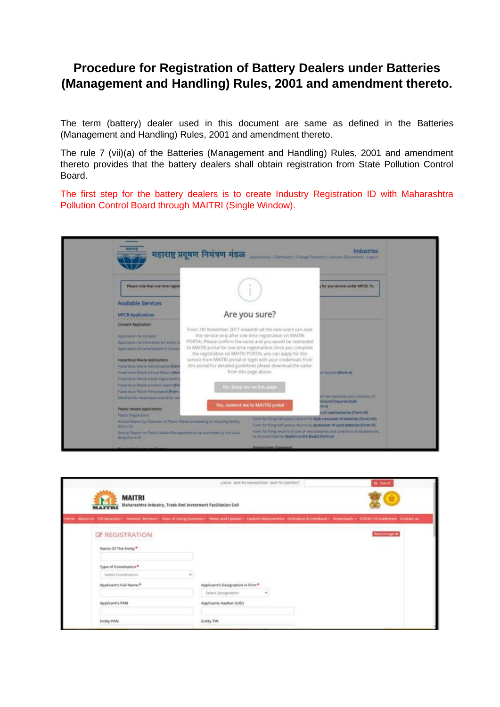## **Procedure for Registration of Battery Dealers under Batteries (Management and Handling) Rules, 2001 and amendment thereto.**

The term (battery) dealer used in this document are same as defined in the Batteries (Management and Handling) Rules, 2001 and amendment thereto.

The rule 7 (vii)(a) of the Batteries (Management and Handling) Rules, 2001 and amendment thereto provides that the battery dealers shall obtain registration from State Pollution Control Board.

The first step for the battery dealers is to create Industry Registration ID with Maharashtra Pollution Control Board through MAITRI (Single Window).

| $-311111$                                                                                                                                                                                                                                                                                                                                                                                                                                                                                                                                                                                                                                                     | महाराष्ट्र प्रदूषण नियंत्रण मंडळ | Applications ( Destroyed ) Change Password ; Industry Documents   Lighult                                                                                                                                                                                                                                                                                                                                                                                                                                                                                                                                                                                                                                                                                             | Industries                                                                                                                                                                                                           |  |
|---------------------------------------------------------------------------------------------------------------------------------------------------------------------------------------------------------------------------------------------------------------------------------------------------------------------------------------------------------------------------------------------------------------------------------------------------------------------------------------------------------------------------------------------------------------------------------------------------------------------------------------------------------------|----------------------------------|-----------------------------------------------------------------------------------------------------------------------------------------------------------------------------------------------------------------------------------------------------------------------------------------------------------------------------------------------------------------------------------------------------------------------------------------------------------------------------------------------------------------------------------------------------------------------------------------------------------------------------------------------------------------------------------------------------------------------------------------------------------------------|----------------------------------------------------------------------------------------------------------------------------------------------------------------------------------------------------------------------|--|
| <b>Please note that one time regis</b>                                                                                                                                                                                                                                                                                                                                                                                                                                                                                                                                                                                                                        |                                  |                                                                                                                                                                                                                                                                                                                                                                                                                                                                                                                                                                                                                                                                                                                                                                       | for any service under MACB. To                                                                                                                                                                                       |  |
| <b>Available Services</b>                                                                                                                                                                                                                                                                                                                                                                                                                                                                                                                                                                                                                                     |                                  |                                                                                                                                                                                                                                                                                                                                                                                                                                                                                                                                                                                                                                                                                                                                                                       |                                                                                                                                                                                                                      |  |
| <b>MPCB Applications</b>                                                                                                                                                                                                                                                                                                                                                                                                                                                                                                                                                                                                                                      |                                  | Are you sure?                                                                                                                                                                                                                                                                                                                                                                                                                                                                                                                                                                                                                                                                                                                                                         |                                                                                                                                                                                                                      |  |
| Conserz Application<br>Application for consent<br>Application for assimation for white its<br>Application for amendment in Conie-<br>Hazardous Waste Applications<br><b>Hazantsus Watte Authorisation (Forn</b><br>Hazardous Waste Articul Return (Fon<br>Hapardous Waste trader registration.<br>Hatardous Wage accolant report (For<br>Halandous Waste Ning appeal (Form<br>Manitest for Happropus and other wa<br>Plastic related applications<br>Plasm Registration<br>Aroual Report by Operator of Plastic Watte processing or swipting facility.<br>IF arm W<br>Ayrual Report on Plastic Walle Management to be submitted by the Local<br>Budy (Form V) |                                  | From 7th November 2017 onwards all the new users can avail<br>this service only after one time registration on MAITRI<br>PORTAL.Please confirm the same and you would be redirected<br>to MAITRI portal for one time registrartion. Once you complete<br>the registration on MAITRI PORTAL you can apply for this<br>service from MAITRI portal or login with your credentials from<br>this portal.For detailed guidelines please download the same<br>from this page above.<br>No. Keep me on this page.<br>Yes; redirect me to MAITRI portal<br>Farm for films half yearly returns for bolk consumer of batteries (Form-VIII).<br>Form for fling railf yearly returns by audioneer of used batteries (Form 80).<br>to be summitted by dealers to the Board (Form-V) | <b>Internet (Form 4)</b><br>to middled box inhabition of<br>acturer/importentium<br><b>H</b> err<br>s of used batteries (Form VIG)<br>Form for fling returns of sale of new summer and collection of old tratteries. |  |

|                                | LOGIN SEP TO NAVIGATION SKIP TO CONTENT.                                                                                                                                            | Q -Search               |
|--------------------------------|-------------------------------------------------------------------------------------------------------------------------------------------------------------------------------------|-------------------------|
| <b>MAITRI</b><br><b>MAITRI</b> | Maharashtra Industry, Trade And Investment Facilitation Cell                                                                                                                        |                         |
|                                | nme About Us FDI Atraction - Investor Services - Ease of Doing Business - News and Update - Explore Mahanashtra - Grievance & Feedback - Downloads - COVID-19 Guidelines Contact us |                         |
| <b>Z REGISTRATION</b>          |                                                                                                                                                                                     | <b>Beck on Logico M</b> |
| Name Of The Entity®            |                                                                                                                                                                                     |                         |
| Type of Constitution*          |                                                                                                                                                                                     |                         |
| Select Constitution            |                                                                                                                                                                                     |                         |
| Applicant's Full Name *        | Applicant's Designation in Firm *                                                                                                                                                   |                         |
|                                | Select Designation                                                                                                                                                                  |                         |
| Applicant's PAN                | Applicants Aadhar (UID)                                                                                                                                                             |                         |
|                                |                                                                                                                                                                                     |                         |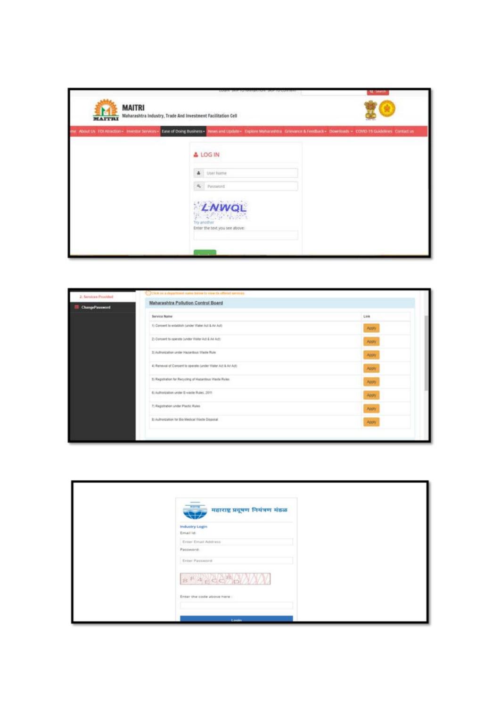| <b>MAITRI</b><br><b>MAITRI</b> | Maharashtra Industry, Trade And Investment Facilitation Cell                                                                                                                                                                                                                                   | <b>Q</b> Starp |
|--------------------------------|------------------------------------------------------------------------------------------------------------------------------------------------------------------------------------------------------------------------------------------------------------------------------------------------|----------------|
|                                | me About Us: FOI Atraction > Investor Services . Zase of Doing Business . News and Update . Copiere Maharashtra Granance & Feedback . Downloads . COVID-19 Guidelines Contact us<br>& LOG IN<br>4 User Name<br>A Password<br>LNWQL<br>第二次分 化溶剂<br>Try another<br>Enter the text you see above: |                |

| 2. Services Provided      | C. Click on a department name below to verw the offered services. |       |
|---------------------------|-------------------------------------------------------------------|-------|
| <b>III</b> ChangePassword | Maharashtra Pollution Control Board                               |       |
|                           | <b>Service Name</b>                                               | Link  |
|                           | 1) Consent to establish (under Water Act & Air Act)               | Apply |
|                           | 2) Concent to operate junder Water Aut & Ail Act)                 | Apply |
|                           | 3) Authorization under Hazardous Washe Rule                       | Apply |
|                           | 4) Renewal of Consent to operate (under Water Act & Art Act)      | Abply |
|                           | 5) Regulation for Recycling of Hazardous Viteste Rules.           | Apply |
|                           | 6) Authorization under E-waste Rules, 2011                        | Apply |
|                           | 7) Registration under Plastic Rules                               | Apply |
|                           | 3) Authorization for Big Medical Waste Disposal                   | Apply |

| <b>METODE</b><br>महाराष्ट्र प्रदूषण नियंत्रण मंडळ |  |
|---------------------------------------------------|--|
| Industry Login<br>Email list                      |  |
| Enter Email Address                               |  |
| Password:                                         |  |
| Enter Password                                    |  |
| 8FA <sub>E</sub> CEPANY                           |  |
| Enter the code above here :                       |  |
|                                                   |  |
| Looin                                             |  |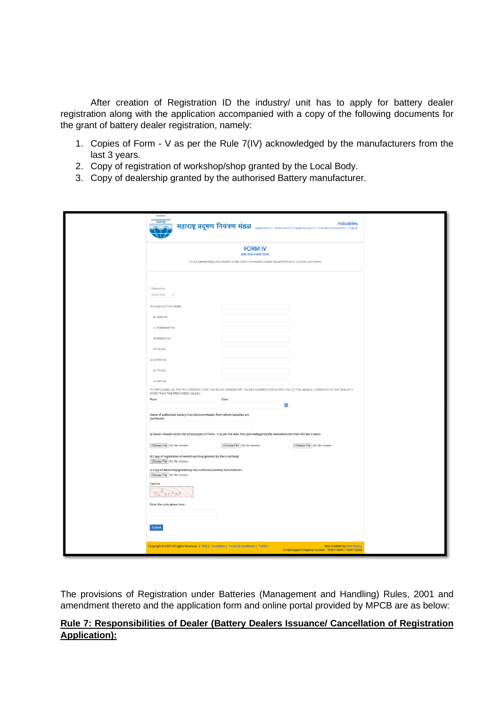After creation of Registration ID the industry/ unit has to apply for battery dealer registration along with the application accompanied with a copy of the following documents for the grant of battery dealer registration, namely:

- 1. Copies of Form V as per the Rule 7(IV) acknowledged by the manufacturers from the last 3 years.
- 2. Copy of registration of workshop/shop granted by the Local Body.
- 3. Copy of dealership granted by the authorised Battery manufacturer.

| महाराष्ट्र<br><b>Industries</b><br><b>HEIVIE HIGHT HIGHT HIGHT HIGHT Applications   Dashboard   Change Password   Industry Documents   Logout</b>                          |
|----------------------------------------------------------------------------------------------------------------------------------------------------------------------------|
| <b>FORM IV</b><br>(See Rule 4 and 7(vii))                                                                                                                                  |
| (To be submitted by the dealers to the State Pommution Control Board/Pollution Control committee)                                                                          |
|                                                                                                                                                                            |
|                                                                                                                                                                            |
| * Submit to:<br>Select SRO<br>$\mathrel{\smash\smile}$                                                                                                                     |
| 1) a) Name of the dealer                                                                                                                                                   |
| b) Address                                                                                                                                                                 |
| c) Telephone No.                                                                                                                                                           |
| d) Mobile No.                                                                                                                                                              |
| e) Fax No.                                                                                                                                                                 |
|                                                                                                                                                                            |
| 2) a) PAN No.                                                                                                                                                              |
| b) TIN No.                                                                                                                                                                 |
| c) VAT No.                                                                                                                                                                 |
| *IF APPLICABLE (AS PER THE CURRENT STATE TAX RULES, MANDATORY TIN/VAT NUMBER IS REQUIRED ONLY IF THE ANNUAL TURNOVER OF THE DEALER IS<br>MORE THAN THE PRESCRIBED VALUE.)  |
| Place<br>Date<br>m                                                                                                                                                         |
| Name of authorized battery manufacturer/dealer, from whom batteries are<br>purchased                                                                                       |
|                                                                                                                                                                            |
| a) Dealer should submit the photocopies of Form - V as per the Rule 7(IV) acknowleged by the manufacturers from the last 3 years.                                          |
| Choose File No file chosen<br>Choose File No file chosen<br>Choose File No file chosen                                                                                     |
| b) Copy of registration of workshop/shop granted by the Local Body.<br>Choose File No file chosen<br>c) Copy of dealership granted by the authorised Battery manufacturer. |
| Choose File No file chosen                                                                                                                                                 |
| Capcha:<br>DA OCAA9                                                                                                                                                        |
| Enter the code above here:                                                                                                                                                 |
|                                                                                                                                                                            |
| Submit                                                                                                                                                                     |
| Copyright © 2022 All rights Reserved.   FAQ   Guidelines   Terms & Conditions   Tickets<br>Web enabled by Web Werks.                                                       |
| Portal support Helpline number - 7045113344 / 7045113322                                                                                                                   |

The provisions of Registration under Batteries (Management and Handling) Rules, 2001 and amendment thereto and the application form and online portal provided by MPCB are as below:

## **Rule 7: Responsibilities of Dealer (Battery Dealers Issuance/ Cancellation of Registration Application):**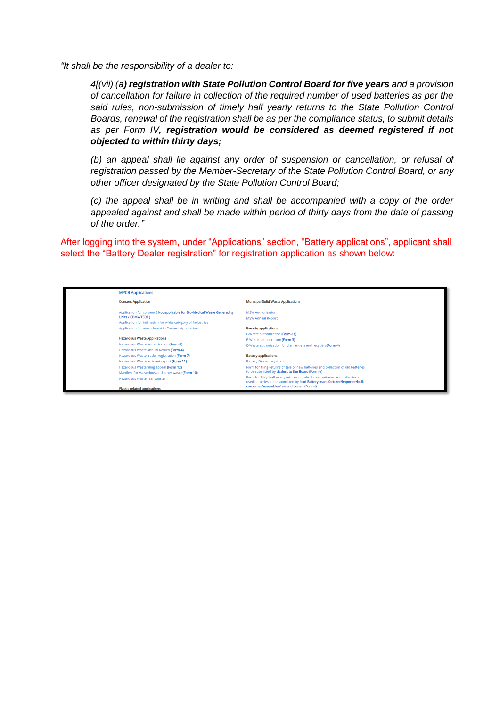*"It shall be the responsibility of a dealer to:*

*4[(vii) (a) registration with State Pollution Control Board for five years and a provision of cancellation for failure in collection of the required number of used batteries as per the said rules, non-submission of timely half yearly returns to the State Pollution Control Boards, renewal of the registration shall be as per the compliance status, to submit details as per Form IV, registration would be considered as deemed registered if not objected to within thirty days;*

*(b) an appeal shall lie against any order of suspension or cancellation, or refusal of registration passed by the Member-Secretary of the State Pollution Control Board, or any other officer designated by the State Pollution Control Board;*

*(c) the appeal shall be in writing and shall be accompanied with a copy of the order appealed against and shall be made within period of thirty days from the date of passing of the order."*

After logging into the system, under "Applications" section, "Battery applications", applicant shall select the "Battery Dealer registration" for registration application as shown below:

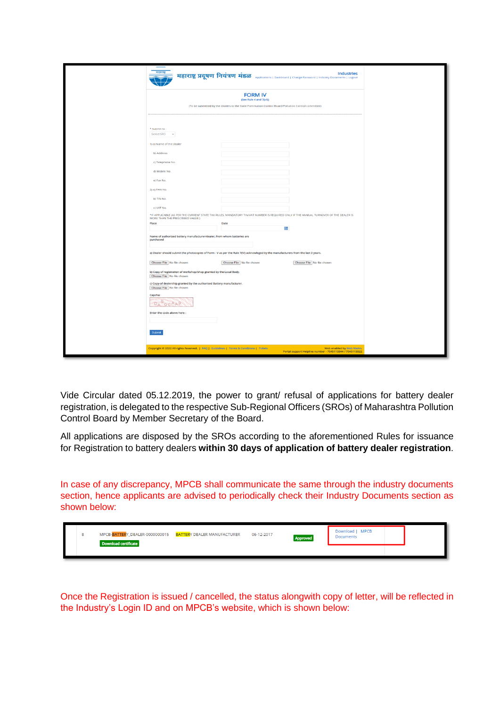|                                                                                                                                                                           |                                                                                                   | महाराष्ट्र प्रदूषण नियंत्रण मंडळ Applications   Dashboard   Change Password   Industry Documents   Logout |  |
|---------------------------------------------------------------------------------------------------------------------------------------------------------------------------|---------------------------------------------------------------------------------------------------|-----------------------------------------------------------------------------------------------------------|--|
|                                                                                                                                                                           | <b>FORM IV</b><br>(See Rule 4 and 7(vii))                                                         |                                                                                                           |  |
|                                                                                                                                                                           | (To be submitted by the dealers to the State Pommution Control Board/Pollution Control committee) |                                                                                                           |  |
| * Submit to:                                                                                                                                                              |                                                                                                   |                                                                                                           |  |
| Select SRO<br>$\check{\phantom{a}}$                                                                                                                                       |                                                                                                   |                                                                                                           |  |
| 1) a) Name of the dealer<br>b) Address                                                                                                                                    |                                                                                                   |                                                                                                           |  |
| c) Telephone No.                                                                                                                                                          |                                                                                                   |                                                                                                           |  |
| d) Mobile No.                                                                                                                                                             |                                                                                                   |                                                                                                           |  |
| e) Fax No.                                                                                                                                                                |                                                                                                   |                                                                                                           |  |
| 2) a) PAN No.                                                                                                                                                             |                                                                                                   |                                                                                                           |  |
| b) TIN No.                                                                                                                                                                |                                                                                                   |                                                                                                           |  |
| C) VAT NO.                                                                                                                                                                |                                                                                                   |                                                                                                           |  |
| *IF APPLICABLE (AS PER THE CURRENT STATE TAX RULES, MANDATORY TIN/VAT NUMBER IS REQUIRED ONLY IF THE ANNUAL TURNOVER OF THE DEALER IS<br>MORE THAN THE PRESCRIBED VALUE.) |                                                                                                   |                                                                                                           |  |
| Place                                                                                                                                                                     | Date<br>Am                                                                                        |                                                                                                           |  |
| Name of authorized battery manufacturer/dealer, from whom batteries are<br>purchased                                                                                      |                                                                                                   |                                                                                                           |  |
| a) Dealer should submit the photocopies of Form - V as per the Rule 7(IV) acknowleged by the manufacturers from the last 3 years.                                         |                                                                                                   |                                                                                                           |  |
| Choose File No file chosen                                                                                                                                                | Choose File No file chosen                                                                        | Choose File No file chosen                                                                                |  |
| b) Copy of registration of workshop/shop granted by the Local Body.<br>Choose File No file chosen                                                                         |                                                                                                   |                                                                                                           |  |
| c) Copy of dealership granted by the authorised Battery manufacturer.<br>Choose File No file chosen                                                                       |                                                                                                   |                                                                                                           |  |
| Capcha:<br>OCAAS<br><b>DA</b>                                                                                                                                             |                                                                                                   |                                                                                                           |  |
| Enter the code above here:                                                                                                                                                |                                                                                                   |                                                                                                           |  |
| Submit                                                                                                                                                                    |                                                                                                   |                                                                                                           |  |
| Copyright © 2022 All rights Reserved.   FAQ   Guidelines   Terms & Conditions   Tickets                                                                                   |                                                                                                   | Web enabled by Web Werks.<br>Portal support Helpline number - 7045113344 / 7045113322                     |  |

Vide Circular dated 05.12.2019, the power to grant/ refusal of applications for battery dealer registration, is delegated to the respective Sub-Regional Officers (SROs) of Maharashtra Pollution Control Board by Member Secretary of the Board.

All applications are disposed by the SROs according to the aforementioned Rules for issuance for Registration to battery dealers **within 30 days of application of battery dealer registration**.

In case of any discrepancy, MPCB shall communicate the same through the industry documents section, hence applicants are advised to periodically check their Industry Documents section as shown below:

|  | MPCB-BATTERY_DEALER-0000000015    BATTERY DEALER MANUFACTURER<br>Download certificate | 06-12-2017 | Approved | Download   MPCB<br><b>Documents</b> |  |
|--|---------------------------------------------------------------------------------------|------------|----------|-------------------------------------|--|
|  |                                                                                       |            |          |                                     |  |

Once the Registration is issued / cancelled, the status alongwith copy of letter, will be reflected in the Industry's Login ID and on MPCB's website, which is shown below: